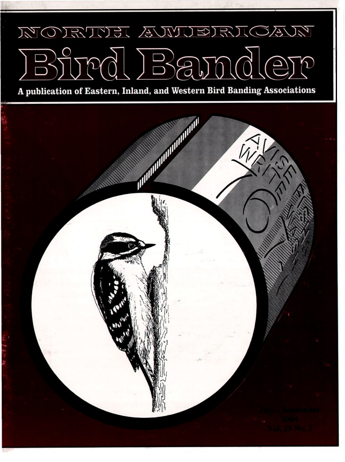## NORTUEL AWUERICAN  $\frac{1}{2}$

A publication of Eastern, Inland, and Western Bird Banding Associations